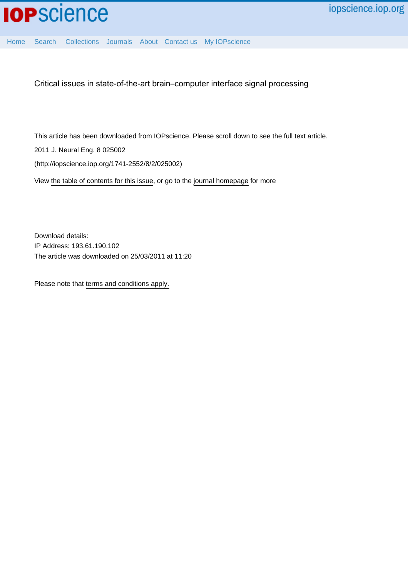

[Home](http://iopscience.iop.org/) [Search](http://iopscience.iop.org/search) [Collections](http://iopscience.iop.org/collections) [Journals](http://iopscience.iop.org/journals) [About](http://iopscience.iop.org/page/aboutioppublishing) [Contact us](http://iopscience.iop.org/contact) [My IOPscience](http://iopscience.iop.org/myiopscience)

Critical issues in state-of-the-art brain–computer interface signal processing

This article has been downloaded from IOPscience. Please scroll down to see the full text article.

2011 J. Neural Eng. 8 025002

(http://iopscience.iop.org/1741-2552/8/2/025002)

View [the table of contents for this issue](http://iopscience.iop.org/1741-2552/8/2), or go to the [journal homepage](http://iopscience.iop.org/1741-2552) for more

Download details: IP Address: 193.61.190.102 The article was downloaded on 25/03/2011 at 11:20

Please note that [terms and conditions apply.](http://iopscience.iop.org/page/terms)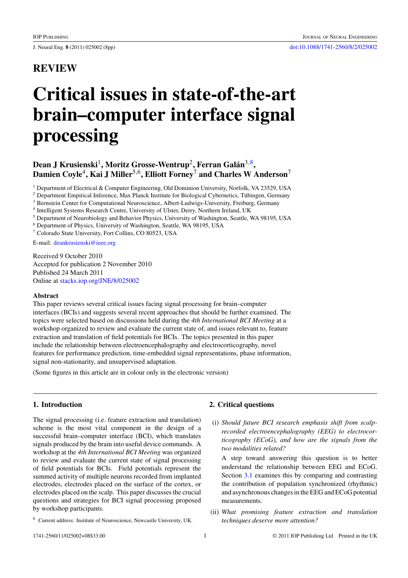J. Neural Eng. **8** (2011) 025002 (8pp) [doi:10.1088/1741-2560/8/2/025002](http://dx.doi.org/10.1088/1741-2560/8/2/025002)

# **REVIEW**

# **Critical issues in state-of-the-art brain–computer interface signal processing**

# Dean J Krusienski<sup>1</sup>, Moritz Grosse-Wentrup<sup>2</sup>, Ferran Galán<sup>3,8</sup>, **Damien Coyle<sup>4</sup>, Kai J Miller**<sup>5,6</sup>, Elliott Forney<sup>7</sup> and Charles W Anderson<sup>7</sup>

<sup>1</sup> Department of Electrical & Computer Engineering, Old Dominion University, Norfolk, VA 23529, USA

<sup>2</sup> Department Empirical Inference, Max Planck Institute for Biological Cybernetics, Tübingen, Germany

<sup>3</sup> Bernstein Center for Computational Neuroscience, Albert-Ludwigs-University, Freiburg, Germany

<sup>4</sup> Intelligent Systems Research Centre, University of Ulster, Derry, Northern Ireland, UK

<sup>5</sup> Department of Neurobiology and Behavior Physics, University of Washington, Seattle, WA 98195, USA

<sup>6</sup> Department of Physics, University of Washington, Seattle, WA 98195, USA

<sup>7</sup> Colorado State University, Fort Collins, CO 80523, USA

E-mail: [deankrusienski@ieee.org](mailto:deankrusienski@ieee.org)

Received 9 October 2010 Accepted for publication 2 November 2010 Published 24 March 2011 Online at [stacks.iop.org/JNE/8/025002](http://stacks.iop.org/JNE/8/025002)

## **Abstract**

This paper reviews several critical issues facing signal processing for brain–computer interfaces (BCIs) and suggests several recent approaches that should be further examined. The topics were selected based on discussions held during the *4th International BCI Meeting* at a workshop organized to review and evaluate the current state of, and issues relevant to, feature extraction and translation of field potentials for BCIs. The topics presented in this paper include the relationship between electroencephalography and electrocorticography, novel features for performance prediction, time-embedded signal representations, phase information, signal non-stationarity, and unsupervised adaptation.

(Some figures in this article are in colour only in the electronic version)

# **1. Introduction**

The signal processing (i.e. feature extraction and translation) scheme is the most vital component in the design of a successful brain–computer interface (BCI), which translates signals produced by the brain into useful device commands. A workshop at the *4th International BCI Meeting* was organized to review and evaluate the current state of signal processing of field potentials for BCIs. Field potentials represent the summed activity of multiple neurons recorded from implanted electrodes, electrodes placed on the surface of the cortex, or electrodes placed on the scalp. This paper discusses the crucial questions and strategies for BCI signal processing proposed by workshop participants.

# **2. Critical questions**

(i) *Should future BCI research emphasis shift from scalprecorded electroencephalography (EEG) to electrocorticography (ECoG), and how are the signals from the two modalities related?*

A step toward answering this question is to better understand the relationship between EEG and ECoG. Section [3.1](#page-2-0) examines this by comparing and contrasting the contribution of population synchronized (rhythmic) and asynchronous changes in the EEG and ECoG potential measurements.

(ii) *What promising feature extraction and translation techniques deserve more attention?*

<sup>8</sup> Current address: Institute of Neuroscience, Newcastle University, UK.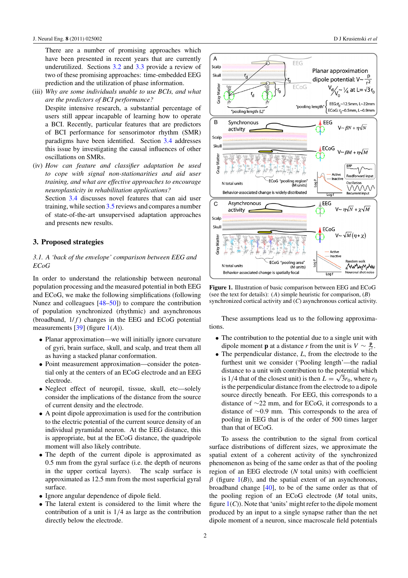<span id="page-2-0"></span>There are a number of promising approaches which have been presented in recent years that are currently underutilized. Sections [3.2](#page-3-0) and [3.3](#page-4-0) provide a review of two of these promising approaches: time-embedded EEG prediction and the utilization of phase information.

(iii) *Why are some individuals unable to use BCIs, and what are the predictors of BCI performance?*

Despite intensive research, a substantial percentage of users still appear incapable of learning how to operate a BCI. Recently, particular features that are predictors of BCI performance for sensorimotor rhythm (SMR) paradigms have been identified. Section [3.4](#page-4-0) addresses this issue by investigating the causal influences of other oscillations on SMRs.

(iv) *How can feature and classifier adaptation be used to cope with signal non-stationarities and aid user training, and what are effective approaches to encourage neuroplasticity in rehabilitation applications?*

Section [3.4](#page-4-0) discusses novel features that can aid user training, while section [3.5](#page-5-0) reviews and compares a number of state-of-the-art unsupervised adaptation approaches and presents new results.

## **3. Proposed strategies**

# *3.1. A 'back of the envelope' comparison between EEG and ECoG*

In order to understand the relationship between neuronal population processing and the measured potential in both EEG and ECoG, we make the following simplifications (following Nunez and colleagues [\[48–50\]](#page-7-0)) to compare the contribution of population synchronized (rhythmic) and asynchronous (broadband,  $1/f$ ) changes in the EEG and ECoG potential measurements [\[39\]](#page-7-0) (figure 1(*A*)).

- Planar approximation—we will initially ignore curvature of gyri, brain surface, skull, and scalp, and treat them all as having a stacked planar conformation.
- Point measurement approximation—consider the potential only at the centers of an ECoG electrode and an EEG electrode.
- Neglect effect of neuropil, tissue, skull, etc—solely consider the implications of the distance from the source of current density and the electrode.
- A point dipole approximation is used for the contribution to the electric potential of the current source density of an individual pyramidal neuron. At the EEG distance, this is appropriate, but at the ECoG distance, the quadripole moment will also likely contribute.
- The depth of the current dipole is approximated as 0.5 mm from the gyral surface (i.e. the depth of neurons in the upper cortical layers). The scalp surface is approximated as 12.5 mm from the most superficial gyral surface.
- Ignore angular dependence of dipole field.
- The lateral extent is considered to the limit where the contribution of a unit is 1*/*4 as large as the contribution directly below the electrode.



**Figure 1.** Illustration of basic comparison between EEG and ECoG (see the text for details): (*A*) simple heuristic for comparison, (*B*) synchronized cortical activity and (*C*) asynchronous cortical activity.

These assumptions lead us to the following approximations.

- The contribution to the potential due to a single unit with dipole moment **p** at a distance *r* from the unit is  $V \sim \frac{\mathbf{p}}{r^2}$ .
- The perpendicular distance, *L*, from the electrode to the furthest unit we consider ('Pooling length'—the radial distance to a unit with contribution to the potential which is 1/4 that of the closest unit) is then  $L = \sqrt{3}r_0$ , where  $r_0$ is the perpendicular distance from the electrode to a dipole source directly beneath. For EEG, this corresponds to a distance of ∼22 mm, and for ECoG, it corresponds to a distance of ∼0.9 mm. This corresponds to the area of pooling in EEG that is of the order of 500 times larger than that of ECoG.

To assess the contribution to the signal from cortical surface distributions of different sizes, we approximate the spatial extent of a coherent activity of the synchronized phenomenon as being of the same order as that of the pooling region of an EEG electrode (*N* total units) with coefficient  $β$  (figure 1(*B*)), and the spatial extent of an asynchronous, broadband change [\[40\]](#page-7-0), to be of the same order as that of the pooling region of an ECoG electrode (*M* total units, figure 1(*C*)). Note that 'units' might refer to the dipole moment produced by an input to a single synapse rather than the net dipole moment of a neuron, since macroscale field potentials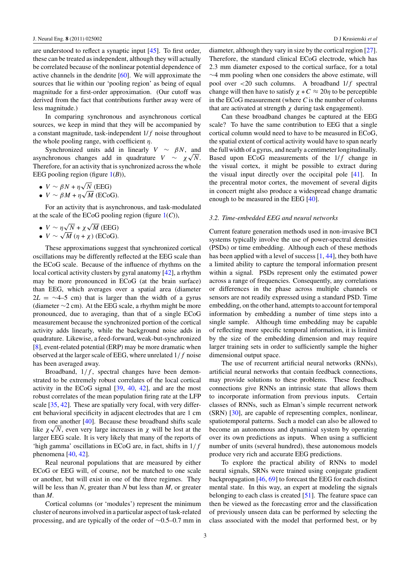<span id="page-3-0"></span>are understood to reflect a synaptic input [\[45](#page-7-0)]. To first order, these can be treated as independent, although they will actually be correlated because of the nonlinear potential dependence of active channels in the dendrite [\[60](#page-8-0)]. We will approximate the sources that lie within our 'pooling region' as being of equal magnitude for a first-order approximation. (Our cutoff was derived from the fact that contributions further away were of less magnitude.)

In comparing synchronous and asynchronous cortical sources, we keep in mind that they will be accompanied by a constant magnitude, task-independent 1/*f* noise throughout the whole pooling range, with coefficient *η*.

Synchronized units add in linearly  $V \sim \beta N$ , and asynchronous changes add in quadrature  $V \sim \chi \sqrt{N}$ . Therefore, for an activity that is synchronized across the whole EEG pooling region (figure [1\(](#page-2-0)*B*)),

- $V \sim \beta N + \eta \sqrt{N}$  (EEG)
- $V \sim \beta M + \eta \sqrt{M}$  (ECoG).

For an activity that is asynchronous, and task-modulated at the scale of the ECoG pooling region (figure  $1(C)$  $1(C)$ ),

- $V \sim \eta \sqrt{N} + \chi \sqrt{M}$  (EEG)
- $V \sim \sqrt{M} (\eta + \chi)$  (ECoG).

These approximations suggest that synchronized cortical oscillations may be differently reflected at the EEG scale than the ECoG scale. Because of the influence of rhythms on the local cortical activity clusters by gyral anatomy [\[42](#page-7-0)], a rhythm may be more pronounced in ECoG (at the brain surface) than EEG, which averages over a spatial area (diameter  $2L = \sim 4-5$  cm) that is larger than the width of a gyrus (diameter  $\sim$ 2 cm). At the EEG scale, a rhythm might be more pronounced, due to averaging, than that of a single ECoG measurement because the synchronized portion of the cortical activity adds linearly, while the background noise adds in quadrature. Likewise, a feed-forward, weak-but-synchronized [\[8](#page-6-0)], event-related potential (ERP) may be more dramatic when observed at the larger scale of EEG, where unrelated 1*/f* noise has been averaged away.

Broadband,  $1/f$ , spectral changes have been demonstrated to be extremely robust correlates of the local cortical activity in the ECoG signal [\[39](#page-7-0), [40](#page-7-0), [42](#page-7-0)], and are the most robust correlates of the mean population firing rate at the LFP scale [\[35,](#page-7-0) [42](#page-7-0)]. These are spatially very focal, with very different behavioral specificity in adjacent electrodes that are 1 cm from one another [\[40\]](#page-7-0). Because these broadband shifts scale like  $\chi \sqrt{N}$ , even very large increases in  $\chi$  will be lost at the larger EEG scale. It is very likely that many of the reports of 'high gamma' oscillations in ECoG are, in fact, shifts in 1*/f* phenomena [\[40,](#page-7-0) [42\]](#page-7-0).

Real neuronal populations that are measured by either ECoG or EEG will, of course, not be matched to one scale or another, but will exist in one of the three regimes. They will be less than *N*, greater than *N* but less than *M*, or greater than *M*.

Cortical columns (or 'modules') represent the minimum cluster of neurons involved in a particular aspect of task-related processing, and are typically of the order of ∼0.5–0.7 mm in

diameter, although they vary in size by the cortical region [\[27](#page-7-0)]. Therefore, the standard clinical ECoG electrode, which has 2.3 mm diameter exposed to the cortical surface, for a total ∼4 mm pooling when one considers the above estimate, will pool over *<*20 such columns. A broadband 1/*f* spectral change will then have to satisfy  $\chi * C \approx 20\eta$  to be perceptible in the ECoG measurement (where *C* is the number of columns that are activated at strength *χ* during task engagement).

Can these broadband changes be captured at the EEG scale? To have the same contribution to EEG that a single cortical column would need to have to be measured in ECoG, the spatial extent of cortical activity would have to span nearly the full width of a gyrus, and nearly a centimeter longitudinally. Based upon ECoG measurements of the 1/*f* change in the visual cortex, it might be possible to extract during the visual input directly over the occipital pole [\[41](#page-7-0)]. In the precentral motor cortex, the movement of several digits in concert might also produce a widespread change dramatic enough to be measured in the EEG [\[40\]](#page-7-0).

#### *3.2. Time-embedded EEG and neural networks*

Current feature generation methods used in non-invasive BCI systems typically involve the use of power-spectral densities (PSDs) or time embedding. Although each of these methods has been applied with a level of success [\[1](#page-6-0), [44](#page-7-0)], they both have a limited ability to capture the temporal information present within a signal. PSDs represent only the estimated power across a range of frequencies. Consequently, any correlations or differences in the phase across multiple channels or sensors are not readily expressed using a standard PSD. Time embedding, on the other hand, attempts to account for temporal information by embedding a number of time steps into a single sample. Although time embedding may be capable of reflecting more specific temporal information, it is limited by the size of the embedding dimension and may require larger training sets in order to sufficiently sample the higher dimensional output space.

The use of recurrent artificial neural networks (RNNs), artificial neural networks that contain feedback connections, may provide solutions to these problems. These feedback connections give RNNs an intrinsic state that allows them to incorporate information from previous inputs. Certain classes of RNNs, such as Elman's simple recurrent network (SRN) [\[30\]](#page-7-0), are capable of representing complex, nonlinear, spatiotemporal patterns. Such a model can also be allowed to become an autonomous and dynamical system by operating over its own predictions as inputs. When using a sufficient number of units (several hundred), these autonomous models produce very rich and accurate EEG predictions.

To explore the practical ability of RNNs to model neural signals, SRNs were trained using conjugate gradient backpropagation [\[46,](#page-7-0) [69\]](#page-8-0) to forecast the EEG for each distinct mental state. In this way, an expert at modeling the signals belonging to each class is created  $[51]$  $[51]$ . The feature space can then be viewed as the forecasting error and the classification of previously unseen data can be performed by selecting the class associated with the model that performed best, or by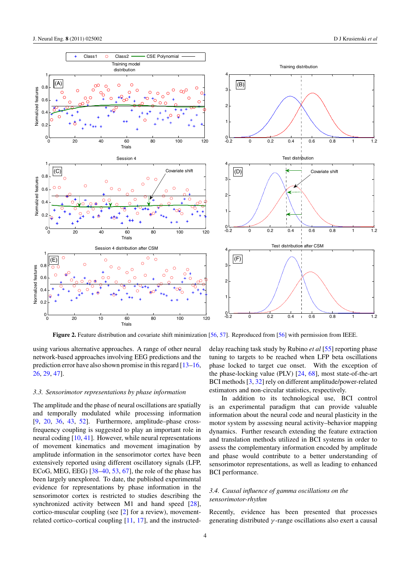<span id="page-4-0"></span>

**Figure 2.** Feature distribution and covariate shift minimization [\[56](#page-7-0), [57](#page-7-0)]. Reproduced from [56] with permission from IEEE.

using various alternative approaches. A range of other neural network-based approaches involving EEG predictions and the prediction error have also shown promise in this regard [\[13–16,](#page-6-0) [26](#page-7-0), [29](#page-7-0), [47\]](#page-7-0).

#### *3.3. Sensorimotor representations by phase information*

The amplitude and the phase of neural oscillations are spatially and temporally modulated while processing information [\[9](#page-6-0), [20,](#page-7-0) [36,](#page-7-0) [43](#page-7-0), [52](#page-7-0)]. Furthermore, amplitude–phase crossfrequency coupling is suggested to play an important role in neural coding [\[10,](#page-6-0) [41](#page-7-0)]. However, while neural representations of movement kinematics and movement imagination by amplitude information in the sensorimotor cortex have been extensively reported using different oscillatory signals (LFP, ECoG, MEG, EEG) [\[38–40](#page-7-0), [53](#page-7-0), [67](#page-8-0)], the role of the phase has been largely unexplored. To date, the published experimental evidence for representations by phase information in the sensorimotor cortex is restricted to studies describing the synchronized activity between M1 and hand speed [\[28](#page-7-0)], cortico-muscular coupling (see [\[2\]](#page-6-0) for a review), movementrelated cortico–cortical coupling [\[11](#page-6-0), [17\]](#page-6-0), and the instructeddelay reaching task study by Rubino *et al* [\[55](#page-7-0)] reporting phase tuning to targets to be reached when LFP beta oscillations phase locked to target cue onset. With the exception of the phase-locking value (PLV) [\[24](#page-7-0), [68\]](#page-8-0), most state-of-the-art BCI methods [\[3,](#page-6-0) [32](#page-7-0)] rely on different amplitude/power-related estimators and non-circular statistics, respectively.

In addition to its technological use, BCI control is an experimental paradigm that can provide valuable information about the neural code and neural plasticity in the motor system by assessing neural activity–behavior mapping dynamics. Further research extending the feature extraction and translation methods utilized in BCI systems in order to assess the complementary information encoded by amplitude and phase would contribute to a better understanding of sensorimotor representations, as well as leading to enhanced BCI performance.

# *3.4. Causal influence of gamma oscillations on the sensorimotor-rhythm*

Recently, evidence has been presented that processes generating distributed *γ* -range oscillations also exert a causal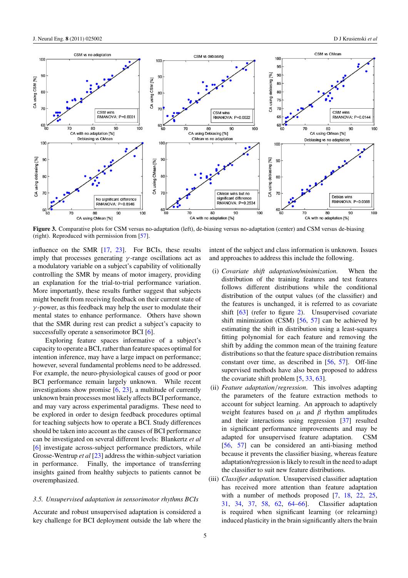<span id="page-5-0"></span>

**Figure 3.** Comparative plots for CSM versus no-adaptation (left), de-biasing versus no-adaptation (center) and CSM versus de-biasing (right). Reproduced with permission from [\[57](#page-7-0)].

influence on the SMR [\[17,](#page-6-0) [23](#page-7-0)]. For BCIs, these results imply that processes generating  $\gamma$ -range oscillations act as a modulatory variable on a subject's capability of volitionally controlling the SMR by means of motor imagery, providing an explanation for the trial-to-trial performance variation. More importantly, these results further suggest that subjects might benefit from receiving feedback on their current state of *γ* -power, as this feedback may help the user to modulate their mental states to enhance performance. Others have shown that the SMR during rest can predict a subject's capacity to successfully operate a sensorimotor BCI [\[6\]](#page-6-0).

Exploring feature spaces informative of a subject's capacity to operate a BCI, rather than feature spaces optimal for intention inference, may have a large impact on performance; however, several fundamental problems need to be addressed. For example, the neuro-physiological causes of good or poor BCI performance remain largely unknown. While recent investigations show promise  $[6, 23]$  $[6, 23]$  $[6, 23]$ , a multitude of currently unknown brain processes most likely affects BCI performance, and may vary across experimental paradigms. These need to be explored in order to design feedback procedures optimal for teaching subjects how to operate a BCI. Study differences should be taken into account as the causes of BCI performance can be investigated on several different levels: Blankertz *et al* [\[6](#page-6-0)] investigate across-subject performance predictors, while Grosse-Wentrup *et al* [\[23\]](#page-7-0) address the within-subject variation in performance. Finally, the importance of transferring insights gained from healthy subjects to patients cannot be overemphasized.

#### *3.5. Unsupervised adaptation in sensorimotor rhythms BCIs*

Accurate and robust unsupervised adaptation is considered a key challenge for BCI deployment outside the lab where the intent of the subject and class information is unknown. Issues and approaches to address this include the following.

- (i) *Covariate shift adaptation/minimization.* When the distribution of the training features and test features follows different distributions while the conditional distribution of the output values (of the classifier) and the features is unchanged, it is referred to as covariate shift [\[63\]](#page-8-0) (refer to figure [2\)](#page-4-0). Unsupervised covariate shift minimization (CSM)  $[56, 57]$  $[56, 57]$  $[56, 57]$  $[56, 57]$  can be achieved by estimating the shift in distribution using a least-squares fitting polynomial for each feature and removing the shift by adding the common mean of the training feature distributions so that the feature space distribution remains constant over time, as described in [\[56,](#page-7-0) [57\]](#page-7-0). Off-line supervised methods have also been proposed to address the covariate shift problem [\[5,](#page-6-0) [33](#page-7-0), [63](#page-8-0)].
- (ii) *Feature adaptation/regression*. This involves adapting the parameters of the feature extraction methods to account for subject learning. An approach to adaptively weight features based on  $\mu$  and  $\beta$  rhythm amplitudes and their interactions using regression [\[37](#page-7-0)] resulted in significant performance improvements and may be adapted for unsupervised feature adaptation. CSM [\[56](#page-7-0), [57](#page-7-0)] can be considered an anti-biasing method because it prevents the classifier biasing, whereas feature adaptation/regression is likely to result in the need to adapt the classifier to suit new feature distributions.
- (iii) *Classifier adaptation.* Unsupervised classifier adaptation has received more attention than feature adaptation with a number of methods proposed [\[7](#page-6-0), [18](#page-7-0), [22,](#page-7-0) [25,](#page-7-0) [31](#page-7-0), [34](#page-7-0), [37,](#page-7-0) [58](#page-8-0), [62,](#page-8-0) [64–66\]](#page-8-0). Classifier adaptation is required when significant learning (or relearning) induced plasticity in the brain significantly alters the brain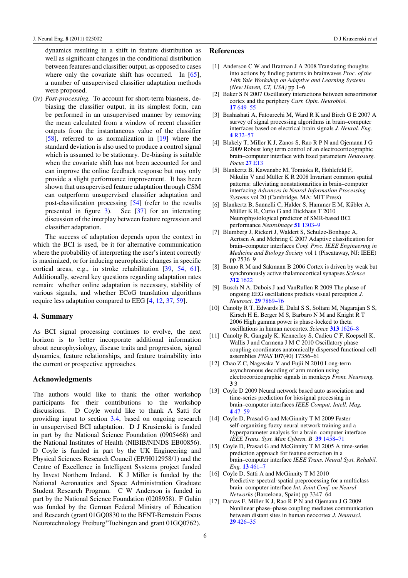<span id="page-6-0"></span>dynamics resulting in a shift in feature distribution as well as significant changes in the conditional distribution between features and classifier output, as opposed to cases where only the covariate shift has occurred. In [\[65](#page-8-0)], a number of unsupervised classifier adaptation methods were proposed.

(iv) *Post-processing.* To account for short-term biasness, debiasing the classifier output, in its simplest form, can be performed in an unsupervised manner by removing the mean calculated from a window of recent classifier outputs from the instantaneous value of the classifier [\[58](#page-8-0)], referred to as normalization in [\[19](#page-7-0)] where the standard deviation is also used to produce a control signal which is assumed to be stationary. De-biasing is suitable when the covariate shift has not been accounted for and can improve the online feedback response but may only provide a slight performance improvement. It has been shown that unsupervised feature adaptation through CSM can outperform unsupervised classifier adaptation and post-classification processing [\[54](#page-7-0)] (refer to the results presented in figure [3\)](#page-5-0). See [\[37\]](#page-7-0) for an interesting discussion of the interplay between feature regression and classifier adaptation.

The success of adaptation depends upon the context in which the BCI is used, be it for alternative communication where the probability of interpreting the user's intent correctly is maximized, or for inducing neuroplastic changes in specific cortical areas, e.g., in stroke rehabilitation [\[39](#page-7-0), [54,](#page-7-0) [61](#page-8-0)]. Additionally, several key questions regarding adaptation rates remain: whether online adaptation is necessary, stability of various signals, and whether ECoG translation algorithms require less adaptation compared to EEG [4, 12, [37](#page-7-0), [59](#page-8-0)].

#### **4. Summary**

As BCI signal processing continues to evolve, the next horizon is to better incorporate additional information about neurophysiology, disease traits and progression, signal dynamics, feature relationships, and feature trainability into the current or prospective approaches.

## **Acknowledgments**

The authors would like to thank the other workshop participants for their contributions to the workshop discussions. D Coyle would like to thank A Satti for providing input to section [3.4,](#page-4-0) based on ongoing research in unsupervised BCI adaptation. D J Krusienski is funded in part by the National Science Foundation (0905468) and the National Institutes of Health (NIBIB/NINDS EB00856). D Coyle is funded in part by the UK Engineering and Physical Sciences Research Council (EP/H012958/1) and the Centre of Excellence in Intelligent Systems project funded by Invest Northern Ireland. K J Miller is funded by the National Aeronautics and Space Administration Graduate Student Research Program. C W Anderson is funded in part by the National Science Foundation (0208958). F Galán was funded by the German Federal Ministry of Education and Research (grant 01GQ0830 to the BFNT-Bernstein Focus Neurotechnology Freiburg∗Tuebingen and grant 01GQ0762).

# **References**

- [1] Anderson C W and Bratman J A 2008 Translating thoughts into actions by finding patterns in brainwaves *Proc. of the 14th Yale Workshop on Adaptive and Learning Systems (New Haven, CT, USA)* pp 1–6
- [2] Baker S N 2007 Oscillatory interactions between sensorimotor cortex and the periphery *Curr. Opin. Neurobiol.* **17** [649–55](http://dx.doi.org/10.1016/j.conb.2008.01.007)
- [3] Bashashati A, Fatourechi M, Ward R K and Birch G E 2007 A survey of signal processing algorithms in brain–computer interfaces based on electrical brain signals *J. Neural. Eng.* **4** [R32–57](http://dx.doi.org/10.1088/1741-2560/4/2/R03)
- [4] Blakely T, Miller K J, Zanos S, Rao R P N and Ojemann J G 2009 Robust long term control of an electrocorticographic brain–computer interface with fixed parameters *Neurosurg. Focus* **27** [E13](http://dx.doi.org/10.3171/2009.4.FOCUS0977)
- [5] Blankertz B, Kawanabe M, Tomioka R, Hohlefeld F, Nikulin V and Müller K R 2008 Invariant common spatial patterns: alleviating nonstationarities in brain–computer interfacing *Advances in Neural Information Processing Systems* vol 20 (Cambridge, MA: MIT Press)
- [6] Blankertz B, Sannelli C, Halder S, Hammer E M, Kübler A, Müller K R, Curio G and Dickhaus T 2010 Neurophysiological predictor of SMR-based BCI performance *NeuroImage* **51** [1303–9](http://dx.doi.org/10.1016/j.neuroimage.2010.03.022)
- [7] Blumberg J, Rickert J, Waldert S, Schulze-Bonhage A, Aertsen A and Mehring C 2007 Adaptive classification for brain–computer interfaces *Conf. Proc. IEEE Engineering in Medicine and Biology Society* vol 1 (Piscataway, NJ: IEEE) pp 2536–9
- [8] Bruno R M and Sakmann B 2006 Cortex is driven by weak but synchronously active thalamocortical synapses *Science* **312** [1622](http://dx.doi.org/10.1126/science.1124593)
- [9] Busch N A, Dubois J and VanRullen R 2009 The phase of ongoing EEG oscillations predicts visual perception *J. Neurosci.* **29** [7869–76](http://dx.doi.org/10.1523/JNEUROSCI.0113-09.2009)
- [10] Canolty R T, Edwards E, Dalal S S, Soltani M, Nagarajan S S, Kirsch H E, Berger M S, Barbaro N M and Knight R T 2006 High gamma power is phase-locked to theta oscillations in human neocortex *Science* **313** [1626–8](http://dx.doi.org/10.1126/science.1128115)
- [11] Canolty R, Ganguly K, Kennerley S, Cadieu C F, Koepsell K, Wallis J and Carmena J M C 2010 Oscillatory phase coupling coordinates anatomically dispersed functional cell assemblies *PNAS* **107**(40) 17356–61
- [12] Chao Z C, Nagasaka Y and Fujii N 2010 Long-term asynchronous decoding of arm motion using electrocorticographic signals in monkeys *Front. Neuroeng.* **3** 3
- [13] Coyle D 2009 Neural network based auto association and time-series prediction for biosignal processing in brain–computer interfaces *IEEE Comput. Intell. Mag.* **4** [47–59](http://dx.doi.org/10.1109/MCI.2009.934560)
- [14] Coyle D, Prasad G and McGinnity T M 2009 Faster self-organizing fuzzy neural network training and a hyperparameter analysis for a brain–computer interface *IEEE Trans. Syst. Man Cybern. B* **39** [1458–71](http://dx.doi.org/10.1109/TSMCB.2009.2018469)
- [15] Coyle D, Prasad G and McGinnity T M 2005 A time-series prediction approach for feature extraction in a brain–computer interface *IEEE Trans. Neural Syst. Rehabil. Eng.* **13** [461–7](http://dx.doi.org/10.1109/TNSRE.2005.857690)
- [16] Coyle D, Satti A and McGinnity T M 2010 Predictive-spectral-spatial preprocessing for a multiclass brain–computer interface *Int. Joint Conf. on Neural Networks* (Barcelona, Spain) pp 3347–64
- [17] Darvas F, Miller K J, Rao R P N and Ojemann J G 2009 Nonlinear phase–phase coupling mediates communication between distant sites in human neocortex *J. Neurosci.* **29** [426–35](http://dx.doi.org/10.1523/JNEUROSCI.3688-08.2009)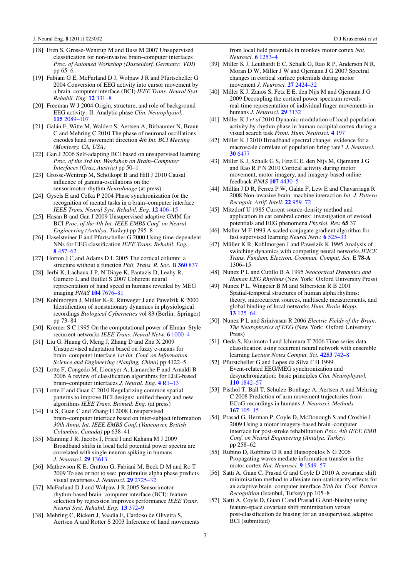- <span id="page-7-0"></span>[18] Eren S, Grosse-Wentrup M and Buss M 2007 Unsupervised classification for non-invasive brain–computer interfaces *Proc. of Automed Workshop (Dusseldorf, Germany: VDI)* pp 65–6
- [19] Fabiani G E, McFarland D J, Wolpaw J R and Pfurtscheller G 2004 Conversion of EEG activity into cursor movement by a brain–computer interface (BCI) *IEEE Trans. Neural Syst. Rehabil. Eng.* **12** [331–8](http://dx.doi.org/10.1109/TNSRE.2004.834627)
- [20] Freeman W J 2004 Origin, structure, and role of background EEG activity: II. Analytic phase *Clin. Neurophysiol.* **115** [2089–107](http://dx.doi.org/10.1016/j.clinph.2004.02.028)
- [21] Galán F, Witte M, Waldert S, Aertsen A, Birbaumer N, Braun C and Mehring C 2010 The phase of neuronal oscillations encodes hand movement direction *4th Int. BCI Meeting (Monterey, CA, USA)*
- [22] Gan J 2006 Self-adapting BCI based on unsupervised learning *Proc. of the 3rd Int. Workshop on Brain–Computer Interfaces (Graz, Austria)* pp 50–1
- [23] Grosse-Wentrup M, Schölkopf B and Hill J 2010 Causal influence of gamma-oscillations on the sensorimotor-rhythm *NeuroImage* (at press)
- [24] Gysels E and Celka P 2004 Phase synchronization for the recognition of mental tasks in a brain–computer interface *IEEE Trans. Neural Syst. Rehabil. Eng.* **12** [406–15](http://dx.doi.org/10.1109/TNSRE.2004.838443)
- [25] Hasan B and Gan J 2009 Unsupervised adaptive GMM for BCI *Proc. of the 4th Int. IEEE EMBS Conf. on Neural Engineering (Antalya, Turkey)* pp 295–8
- [26] Haselsteiner E and Pfurtscheller G 2000 Using time-dependent NNs for EEG classification *IEEE Trans. Rehabil. Eng.* **8** [457–62](http://dx.doi.org/10.1109/86.895948)
- [27] Horton J C and Adams D L 2005 The cortical column: a structure without a function *Phil. Trans. R. Soc.* B **[360](http://dx.doi.org/10.1098/rstb.2005.1623)** 837
- [28] Jerbi K, Lachaux J P, N'Diaye K, Pantazis D, Leahy R, Garnero L and Baillet S 2007 Coherent neural representation of hand speed in humans revealed by MEG imaging *PNAS* **104** [7676–81](http://dx.doi.org/10.1073/pnas.0609632104)
- [29] Kohlmorgen J, Müller K-R, Rittweger J and Pawelzik K 2000 Identification of nonstationary dynamics in physiological recordings *Biological Cybernetics* vol 83 (Berlin: Springer) pp 73–84
- [30] Kremer S C 1995 On the computational power of Elman–Style recurrent networks *IEEE Trans. Neural Netw.* **6** [1000–4](http://dx.doi.org/10.1109/72.392262)
- [31] Liu G, Huang G, Meng J, Zhang D and Zhu X 2009 Unsupervised adaptation based on fuzzy c-means for brain–computer interface *1st Int. Conf. on Information Science and Engineering (Nanjing, China)* pp 4122–5
- [32] Lotte F, Congedo M, L'ecuyer A, Lamarche F and Arnaldi B 2006 A review of classification algorithms for EEG-based brain–computer interfaces *J. Neural. Eng.* **4** [R1–13](http://dx.doi.org/10.1088/1741-2560/4/2/R01)
- [33] Lotte F and Guan C 2010 Regularizing common spatial patterns to improve BCI designs: unified theory and new algorithms *IEEE Trans. Biomed. Eng.* (at press)
- [34] Lu S, Guan C and Zhang H 2008 Unsupervised brain–computer interface based on inter-subject information *30th Annu. Int. IEEE EMBS Conf. (Vancouver, British Columbia, Canada)* pp 638–41
- [35] Manning J R, Jacobs J, Fried I and Kahana M J 2009 Broadband shifts in local field potential power spectra are correlated with single-neuron spiking in humans *J. Neurosci.* **29** [13613](http://dx.doi.org/10.1523/JNEUROSCI.2041-09.2009)
- [36] Mathewson K E, Gratton G, Fabiani M, Beck D M and Ro T 2009 To see or not to see: prestimulus alpha phase predicts visual awareness *J. Neurosci.* **29** [2725–32](http://dx.doi.org/10.1523/JNEUROSCI.3963-08.2009)
- [37] McFarland D J and Wolpaw J R 2005 Sensorimotor rhythm-based brain–computer interface (BCI): feature selection by regression improves performance *IEEE Trans. Neural Syst. Rehabil. Eng.* **13** [372–9](http://dx.doi.org/10.1109/TNSRE.2005.848627)
- [38] Mehring C, Rickert J, Vaadia E, Cardoso de Oliveira S, Aertsen A and Rotter S 2003 Inference of hand movements

from local field potentials in monkey motor cortex *Nat. Neurosci.* **6** [1253–4](http://dx.doi.org/10.1038/nn1158)

- [39] Miller K J, Leuthardt E C, Schalk G, Rao R P, Anderson N R, Moran D W, Miller J W and Ojemann J G 2007 Spectral changes in cortical surface potentials during motor movement *J. Neurosci.* **27** [2424–32](http://dx.doi.org/10.1523/JNEUROSCI.3886-06.2007)
- [40] Miller K J, Zanos S, Fetz E E, den Nijs M and Ojemann J G 2009 Decoupling the cortical power spectrum reveals real-time representation of individual finger movements in humans *J. Neurosci.* **29** [3132](http://dx.doi.org/10.1523/JNEUROSCI.5506-08.2009)
- [41] Miller K J *et al* 2010 Dynamic modulation of local population activity by rhythm phase in human occipital cortex during a visual search task *Front. Hum. Neurosci.* **4** [197](http://dx.doi.org/10.3389/fnhum.2010.00197)
- [42] Miller K J 2010 Broadband spectral change: evidence for a macroscale correlate of population firing rate? *J. Neurosci.* **30** [6477](http://dx.doi.org/10.1523/JNEUROSCI.6401-09.2010)
- [43] Miller K J, Schalk G S, Fetz E E, den Nijs M, Ojemann J G and Rao R P N 2010 Cortical activity during motor movement, motor imagery, and imagery-based online feedback *PNAS* **107** [4430–5](http://dx.doi.org/10.1073/pnas.0913697107)
- [44] Millán J D R, Ferrez P W, Galán F, Lew E and Chavarriaga R 2008 Non-invasive brain–machine interaction *Int. J. Pattern Recognit. Artif. Intell.* **22** [959–72](http://dx.doi.org/10.1142/S0218001408006600)
- [45] Mitzdorf U 1985 Current source-density method and application in cat cerebral cortex: investigation of evoked potentials and EEG phenomena *Physiol. Rev.* **65** 37
- [46] Møller M F 1993 A scaled conjugate gradient algorithm for fast supervised learning *Neural Netw.* **6** [525–33](http://dx.doi.org/10.1016/S0893-6080(05)80056-5)
- [47] Müller K R, Kohlmorgen J and Pawelzik K 1995 Analysis of switching dynamics with competing neural networks *IEICE Trans. Fundam. Electron. Commun. Comput. Sci.* E **78-A** 1306–15
- [48] Nunez P L and Cutillo B A 1995 *Neocortical Dynamics and Human EEG Rhythms* (New York: Oxford University Press)
- [49] Nunez P L, Wingeier B M and Silberstein R B 2001 Spatial-temporal structures of human alpha rhythms: theory, microcurrent sources, multiscale measurements, and global binding of local networks *Hum. Brain Mapp.* **13** [125–64](http://dx.doi.org/10.1002/hbm.1030)
- [50] Nunez P L and Srinivasan R 2006 *Electric Fields of the Brain: The Neurophysics of EEG* (New York: Oxford University Press)
- [51] Oeda S, Kurimoto I and Ichimura T 2006 Time series data classification using recurrent neural network with ensemble learning *Lecture Notes Comput. Sci.* **4253** [742–8](http://dx.doi.org/10.1007/11893011_94)
- [52] Pfurstcheller G and Lopes da Silva F H 1999 Event-related EEG/MEG synchronization and desynchronization: basic principles *Clin. Neurophysiol.* **110** [1842–57](http://dx.doi.org/10.1016/S1388-2457(99)00141-8)
- [53] Pisthol T, Ball T, Schulze-Bonhage A, Aertsen A and Mehring C 2008 Prediction of arm movement trajectories from ECoG-recordings in humans *J. Neurosci. Methods* **167** [105–15](http://dx.doi.org/10.1016/j.jneumeth.2007.10.001)
- [54] Prasad G, Herman P, Coyle D, McDonough S and Crosbie J 2009 Using a motor imagery-based brain–computer interface for post-stroke rehabilitation *Proc. 4th IEEE EMB Conf. on Neural Engineering (Antalya, Turkey)* pp 258–62
- [55] Rubino D, Robbins D R and Hatsopoulos N G 2006 Propagating waves mediate information transfer in the motor cortex *Nat. Neurosci.* **9** [1549–57](http://dx.doi.org/10.1038/nn1802)
- [56] Satti A, Guan C, Prasad G and Coyle D 2010 A covariate shift minimisation method to alleviate non-stationarity effects for an adaptive brain–computer interface *20th Int. Conf. Pattern Recognition* (Istanbul, Turkey) pp 105–8
- [57] Satti A, Coyle D, Guan C and Prasad G Anti-biasing using feature-space covariate shift minimization versus post-classification de biasing for an unsupervised adaptive BCI (submitted)